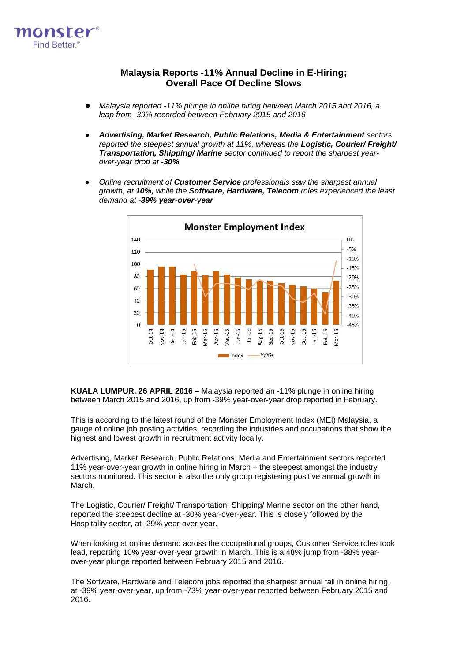

# **Malaysia Reports -11% Annual Decline in E-Hiring; Overall Pace Of Decline Slows**

- *Malaysia reported -11% plunge in online hiring between March 2015 and 2016, a leap from -39% recorded between February 2015 and 2016*
- *Advertising, Market Research, Public Relations, Media & Entertainment sectors reported the steepest annual growth at 11%, whereas the Logistic, Courier/ Freight/ Transportation, Shipping/ Marine sector continued to report the sharpest yearover-year drop at -30%*
- *Online recruitment of Customer Service professionals saw the sharpest annual growth, at 10%, while the Software, Hardware, Telecom roles experienced the least demand at -39% year-over-year*



**KUALA LUMPUR, 26 APRIL 2016 –** Malaysia reported an -11% plunge in online hiring between March 2015 and 2016, up from -39% year-over-year drop reported in February.

This is according to the latest round of the Monster Employment Index (MEI) Malaysia, a gauge of online job posting activities, recording the industries and occupations that show the highest and lowest growth in recruitment activity locally.

Advertising, Market Research, Public Relations, Media and Entertainment sectors reported 11% year-over-year growth in online hiring in March – the steepest amongst the industry sectors monitored. This sector is also the only group registering positive annual growth in March.

The Logistic, Courier/ Freight/ Transportation, Shipping/ Marine sector on the other hand, reported the steepest decline at -30% year-over-year. This is closely followed by the Hospitality sector, at -29% year-over-year.

When looking at online demand across the occupational groups, Customer Service roles took lead, reporting 10% year-over-year growth in March. This is a 48% jump from -38% yearover-year plunge reported between February 2015 and 2016.

The Software, Hardware and Telecom jobs reported the sharpest annual fall in online hiring, at -39% year-over-year, up from -73% year-over-year reported between February 2015 and 2016.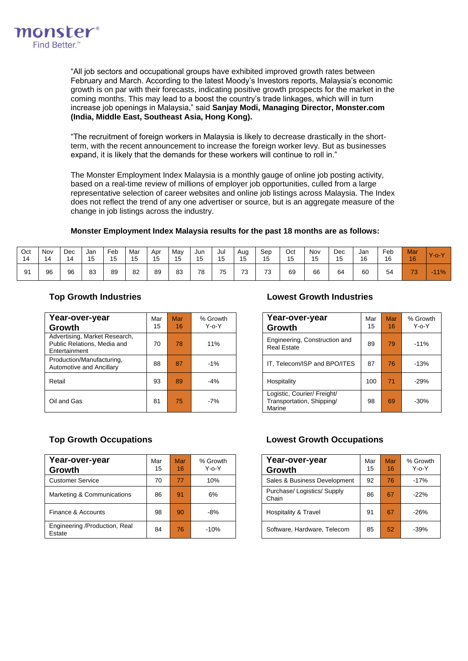

"All job sectors and occupational groups have exhibited improved growth rates between February and March. According to the latest Moody's Investors reports, Malaysia's economic growth is on par with their forecasts, indicating positive growth prospects for the market in the coming months. This may lead to a boost the country's trade linkages, which will in turn increase job openings in Malaysia," said **Sanjay Modi, Managing Director, Monster.com (India, Middle East, Southeast Asia, Hong Kong).**

"The recruitment of foreign workers in Malaysia is likely to decrease drastically in the shortterm, with the recent announcement to increase the foreign worker levy. But as businesses expand, it is likely that the demands for these workers will continue to roll in."

The [Monster Employment Index](http://www.about-monster.com/employment-index) Malaysia is a monthly gauge of online job posting activity, based on a real-time review of millions of employer job opportunities, culled from a large representative selection of career websites and online job listings across Malaysia. The Index does not reflect the trend of any one advertiser or source, but is an aggregate measure of the change in job listings across the industry.

### **Monster Employment Index Malaysia results for the past 18 months are as follows:**

| Oct<br>14 | Nov<br>14 | Dec<br>14 | Jan<br>15 | Feb<br>15 | Mar<br>15 | Apr<br><b>15</b><br>ں ا | Mav<br>◡ | Jun<br><b>15</b><br>ιυ | Jul<br>15 | Aug<br>15<br>ں ا | Sep<br>15<br>ر ا | Oct<br>15 | Nov<br>15 | Dec<br>15 | Jan<br>16 | Feb<br>16 | Mar<br>16 | $Y$ -o- $Y$ |
|-----------|-----------|-----------|-----------|-----------|-----------|-------------------------|----------|------------------------|-----------|------------------|------------------|-----------|-----------|-----------|-----------|-----------|-----------|-------------|
| 91        | 96        | 96        | 83        | 89        | 82        | 89                      | 83       | 78                     | 75        | 70<br>J          | 70<br>ື          | 69        | 66        | 64        | 60        | 54        | 73        | $11\%$      |

| Year-over-year<br>Growth                                                      | Mar<br>15 | Mar<br>16 | % Growth<br>$Y - 0 - Y$ | Year-over-year<br><b>Growth</b>                                    | Mar<br>15 | Mar<br>16 | % Grov<br>Y-o-\ |
|-------------------------------------------------------------------------------|-----------|-----------|-------------------------|--------------------------------------------------------------------|-----------|-----------|-----------------|
| Advertising, Market Research,<br>Public Relations, Media and<br>Entertainment | 70        | 78        | 11%                     | Engineering, Construction and<br><b>Real Estate</b>                | 89        | 79        | $-11%$          |
| Production/Manufacturing,<br>Automotive and Ancillary                         | 88        | 87        | $-1\%$                  | IT, Telecom/ISP and BPO/ITES                                       | 87        | 76        | $-13%$          |
| Retail                                                                        | 93        | 89        | $-4%$                   | Hospitality                                                        | 100       | 71        | $-29%$          |
| Oil and Gas                                                                   | 81        | 75        | $-7%$                   | Logistic, Courier/ Freight/<br>Transportation, Shipping/<br>Marine | 98        | 69        | $-30%$          |

## **Top Growth Industries Lowest Growth Industries**

| Лаr<br>15 | Mar<br>16 | % Growth<br>$Y - 0 - Y$ | Year-over-year<br>Growth                                           | Mar<br>15 | Mar<br>16 | % Growth<br>$Y - 0 - Y$ |
|-----------|-----------|-------------------------|--------------------------------------------------------------------|-----------|-----------|-------------------------|
| 70        | 78        | 11%                     | Engineering, Construction and<br><b>Real Estate</b>                | 89        | 79        | $-11%$                  |
| 88        | 87        | $-1%$                   | IT, Telecom/ISP and BPO/ITES                                       | 87        | 76        | $-13%$                  |
| 93        | 89        | $-4%$                   | Hospitality                                                        | 100       | 71        | $-29%$                  |
| 81        | 75        | -7%                     | Logistic, Courier/ Freight/<br>Transportation, Shipping/<br>Marine | 98        | 69        | $-30%$                  |

| Year-over-year<br>Growth                | Mar<br>15 | <b>Mar</b><br>16 | % Growth<br>$Y$ -0- $Y$ | Year-over-year<br>Growth           | Mar<br>15 | Mar<br>16 | % Grov<br>Y-0-Y |
|-----------------------------------------|-----------|------------------|-------------------------|------------------------------------|-----------|-----------|-----------------|
| <b>Customer Service</b>                 | 70        | 77               | 10%                     | Sales & Business Development       | 92        | 76        | $-17%$          |
| Marketing & Communications              | 86        | 91               | 6%                      | Purchase/Logistics/Supply<br>Chain | 86        | 67        | $-22%$          |
| Finance & Accounts                      | 98        | 90               | $-8%$                   | <b>Hospitality &amp; Travel</b>    | 91        | 67        | $-26%$          |
| Engineering /Production, Real<br>Estate | 84        | 76               | $-10%$                  | Software, Hardware, Telecom        | 85        | 52        | $-39%$          |

# **Top Growth Occupations Lowest Growth Occupations**

| Year-over-year<br>Growth             | Mar<br>15 | <b>Mar</b><br>16 | % Growth<br>Y-o-Y |
|--------------------------------------|-----------|------------------|-------------------|
| Sales & Business Development         | 92        | 76               | $-17%$            |
| Purchase/ Logistics/ Supply<br>Chain | 86        | 67               | $-22%$            |
| <b>Hospitality &amp; Travel</b>      | 91        | 67               | $-26%$            |
| Software, Hardware, Telecom          | 85        | 52               | $-39%$            |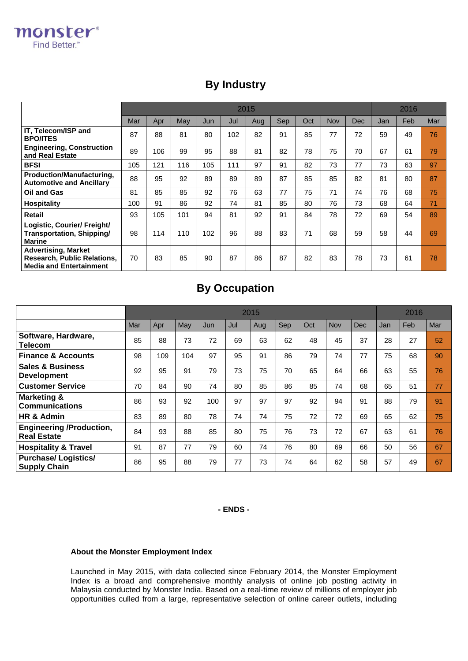# **By Industry**

|                                                                                                    |     | 2015 |     |     |     |     |     |     |     |            |     |      |     |
|----------------------------------------------------------------------------------------------------|-----|------|-----|-----|-----|-----|-----|-----|-----|------------|-----|------|-----|
|                                                                                                    | Mar | Apr  | May | Jun | Jul | Aug | Sep | Oct | Nov | <b>Dec</b> | Jan | Feb. | Mar |
| IT, Telecom/ISP and<br><b>BPO/ITES</b>                                                             | 87  | 88   | 81  | 80  | 102 | 82  | 91  | 85  | 77  | 72         | 59  | 49   | 76  |
| <b>Engineering, Construction</b><br>and Real Estate                                                | 89  | 106  | 99  | 95  | 88  | 81  | 82  | 78  | 75  | 70         | 67  | 61   | 79  |
| <b>BFSI</b>                                                                                        | 105 | 121  | 116 | 105 | 111 | 97  | 91  | 82  | 73  | 77         | 73  | 63   | 97  |
| Production/Manufacturing,<br><b>Automotive and Ancillary</b>                                       | 88  | 95   | 92  | 89  | 89  | 89  | 87  | 85  | 85  | 82         | 81  | 80   | 87  |
| Oil and Gas                                                                                        | 81  | 85   | 85  | 92  | 76  | 63  | 77  | 75  | 71  | 74         | 76  | 68   | 75  |
| <b>Hospitality</b>                                                                                 | 100 | 91   | 86  | 92  | 74  | 81  | 85  | 80  | 76  | 73         | 68  | 64   | 71  |
| <b>Retail</b>                                                                                      | 93  | 105  | 101 | 94  | 81  | 92  | 91  | 84  | 78  | 72         | 69  | 54   | 89  |
| Logistic, Courier/ Freight/<br>Transportation, Shipping/<br><b>Marine</b>                          | 98  | 114  | 110 | 102 | 96  | 88  | 83  | 71  | 68  | 59         | 58  | 44   | 69  |
| <b>Advertising, Market</b><br><b>Research, Public Relations,</b><br><b>Media and Entertainment</b> | 70  | 83   | 85  | 90  | 87  | 86  | 87  | 82  | 83  | 78         | 73  | 61   | 78  |

# **By Occupation**

|                                                       |     | 2015 |     |     |     |     |     |     |            |            |     |     |     |
|-------------------------------------------------------|-----|------|-----|-----|-----|-----|-----|-----|------------|------------|-----|-----|-----|
|                                                       | Mar | Apr  | May | Jun | Jul | Aug | Sep | Oct | <b>Nov</b> | <b>Dec</b> | Jan | Feb | Mar |
| Software, Hardware,<br>Telecom                        | 85  | 88   | 73  | 72  | 69  | 63  | 62  | 48  | 45         | 37         | 28  | 27  | 52  |
| <b>Finance &amp; Accounts</b>                         | 98  | 109  | 104 | 97  | 95  | 91  | 86  | 79  | 74         | 77         | 75  | 68  | 90  |
| <b>Sales &amp; Business</b><br><b>Development</b>     | 92  | 95   | 91  | 79  | 73  | 75  | 70  | 65  | 64         | 66         | 63  | 55  | 76  |
| <b>Customer Service</b>                               | 70  | 84   | 90  | 74  | 80  | 85  | 86  | 85  | 74         | 68         | 65  | 51  | 77  |
| <b>Marketing &amp;</b><br><b>Communications</b>       | 86  | 93   | 92  | 100 | 97  | 97  | 97  | 92  | 94         | 91         | 88  | 79  | 91  |
| HR & Admin                                            | 83  | 89   | 80  | 78  | 74  | 74  | 75  | 72  | 72         | 69         | 65  | 62  | 75  |
| <b>Engineering /Production,</b><br><b>Real Estate</b> | 84  | 93   | 88  | 85  | 80  | 75  | 76  | 73  | 72         | 67         | 63  | 61  | 76  |
| <b>Hospitality &amp; Travel</b>                       | 91  | 87   | 77  | 79  | 60  | 74  | 76  | 80  | 69         | 66         | 50  | 56  | 67  |
| <b>Purchase/Logistics/</b><br><b>Supply Chain</b>     | 86  | 95   | 88  | 79  | 77  | 73  | 74  | 64  | 62         | 58         | 57  | 49  | 67  |

# **- ENDS -**

# **About the Monster Employment Index**

Launched in May 2015, with data collected since February 2014, the Monster Employment Index is a broad and comprehensive monthly analysis of online job posting activity in Malaysia conducted by Monster India. Based on a real-time review of millions of employer job opportunities culled from a large, representative selection of online career outlets, including